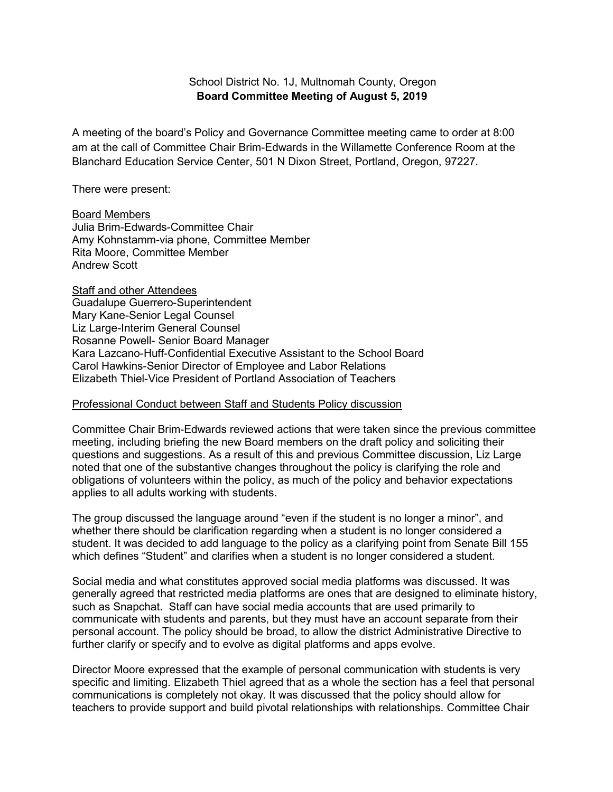## School District No. 1J, Multnomah County, Oregon **Board Committee Meeting of August 5, 2019**

A meeting of the board's Policy and Governance Committee meeting came to order at 8:00 am at the call of Committee Chair Brim-Edwards in the Willamette Conference Room at the Blanchard Education Service Center, 501 N Dixon Street, Portland, Oregon, 97227.

There were present:

Board Members Julia Brim-Edwards-Committee Chair Amy Kohnstamm-via phone, Committee Member Rita Moore, Committee Member Andrew Scott

**Staff and other Attendees** Guadalupe Guerrero-Superintendent Mary Kane-Senior Legal Counsel Liz Large-Interim General Counsel Rosanne Powell- Senior Board Manager Kara Lazcano-Huff-Confidential Executive Assistant to the School Board Carol Hawkins-Senior Director of Employee and Labor Relations Elizabeth Thiel-Vice President of Portland Association of Teachers

## Professional Conduct between Staff and Students Policy discussion

Committee Chair Brim-Edwards reviewed actions that were taken since the previous committee meeting, including briefing the new Board members on the draft policy and soliciting their questions and suggestions. As a result of this and previous Committee discussion, Liz Large noted that one of the substantive changes throughout the policy is clarifying the role and obligations of volunteers within the policy, as much of the policy and behavior expectations applies to all adults working with students.

The group discussed the language around "even if the student is no longer a minor", and whether there should be clarification regarding when a student is no longer considered a student. It was decided to add language to the policy as a clarifying point from Senate Bill 155 which defines "Student" and clarifies when a student is no longer considered a student.

Social media and what constitutes approved social media platforms was discussed. It was generally agreed that restricted media platforms are ones that are designed to eliminate history, such as Snapchat. Staff can have social media accounts that are used primarily to communicate with students and parents, but they must have an account separate from their personal account. The policy should be broad, to allow the district Administrative Directive to further clarify or specify and to evolve as digital platforms and apps evolve.

Director Moore expressed that the example of personal communication with students is very specific and limiting. Elizabeth Thiel agreed that as a whole the section has a feel that personal communications is completely not okay. It was discussed that the policy should allow for teachers to provide support and build pivotal relationships with relationships. Committee Chair